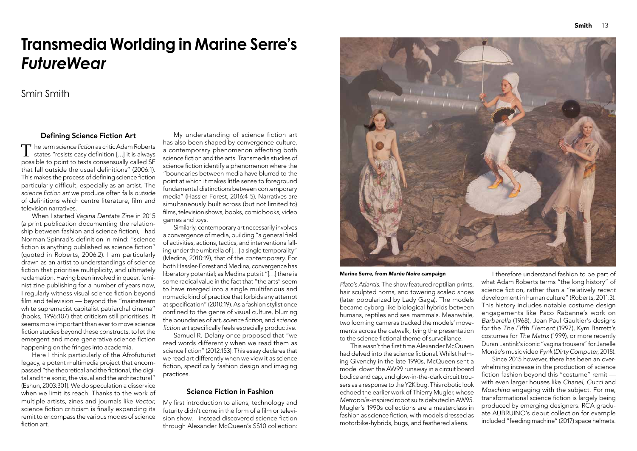Plato's Atlantis. The show featured reptilian prints, hair sculpted horns, and towering scaled shoes (later popularized by Lady Gaga). The models became cyborg-like biological hybrids between humans, reptiles and sea mammals. Meanwhile, two looming cameras tracked the models' movements across the catwalk, tying the presentation to the science fictional theme of surveillance.

This wasn't the first time Alexander McQueen  $\,$ had delved into the science fictional. Whilst helming Givenchy in the late 1990s, McQueen sent a model down the AW99 runaway in a circuit board bodice and cap, and glow-in-the-dark circuit trousers as a response to the Y2K bug. This robotic look echoed the earlier work of Thierry Mugler, whose Metropolis-inspired robot suits debuted in AW95. Mugler's 1990s collections are a masterclass in fashion as science fiction, with models dressed as motorbike-hybrids, bugs, and feathered aliens.

The term science fiction as critic Adam Roberts<br>states "resists easy definition [...] it is always  $\Box$  he term science fiction as critic Adam Roberts possible to point to texts consensually called SF that fall outside the usual definitions" (2006:1). This makes the process of defining science fiction particularly difficult, especially as an artist. The science fiction art we produce often falls outside of definitions which centre literature, film and television narratives.

> I therefore understand fashion to be part of what Adam Roberts terms "the long history" of science fiction, rather than a "relatively *recent* development in human culture" (Roberts, 2011:3). This history includes notable costume design engagements like Paco Rabanne's work on Barbarella (1968), Jean Paul Gaultier's designs for the The Fifth Element (1997), Kym Barrett's costumes for The Matrix (1999), or more recently Duran Lantink's iconic "vagina trousers" for Janelle Monáe's music video Pynk (Dirty Computer, 2018).

Here I think particularly of the Afrofuturist legacy, a potent multimedia project that encompassed "the theoretical and the fictional, the digital and the sonic, the visual and the architectural" (Eshun, 2003:301). We do speculation a disservice when we limit its reach. Thanks to the work of multiple artists, zines and journals like Vector, science fiction criticism is finally expanding its remit to encompass the various modes of science fiction art.

Since 2015 however, there has been an overwhelming increase in the production of science fiction fashion beyond this "costume" remit with even larger houses like Chanel, Gucci and Moschino engaging with the subject. For me, transformational science fiction is largely being produced by emerging designers. RCA graduate AUBRUINO's debut collection for example included "feeding machine" (2017) space helmets.



Marine Serre, from Marée Noire campaign

Similarly, contemporary art necessarily involves a convergence of media, building "a general field of activities, actions, tactics, and interventions falling under the umbrella of […] a single temporality" (Medina, 2010:19), that of the contemporary. For both Hassler-Forest and Medina, convergence has liberatory potential; as Medina puts it "[…] there is some radical value in the fact that "the arts" seem to have merged into a single multifarious and nomadic kind of practice that forbids any attempt at specification" (2010:19). As a fashion stylist once confined to the genre of visual culture, blurring the boundaries of *art, science fiction,* and science fiction art specifically feels especially productive.

My first introduction to aliens, technology and futurity didn't come in the form of a film or television show. I instead discovered science fiction through Alexander McQueen's SS10 collection:

When I started Vagina Dentata Zine in 2015 (a print publication documenting the relationship between fashion and science fiction), I had Norman Spinrad's definition in mind: "science fiction is anything published as science fiction" (quoted in Roberts, 2006:2). I am particularly drawn as an artist to understandings of science fiction that prioritise multiplicity, and ultimately reclamation. Having been involved in queer, feminist zine publishing for a number of years now, I regularly witness visual science fiction beyond film and television — beyond the "mainstream white supremacist capitalist patriarchal cinema" (hooks, 1996:107) that criticism still prioritises. It seems more important than ever to move science fiction studies beyond these constructs, to let the emergent and more generative science fiction happening on the fringes into academia.

My understanding of science fiction art has also been shaped by convergence culture, a contemporary phenomenon affecting both science fiction and the arts. Transmedia studies of science fiction identify a phenomenon where the "boundaries between media have blurred to the point at which it makes little sense to foreground fundamental distinctions between contemporary media" (Hassler-Forest, 2016:4-5). Narratives are simultaneously built across (but not limited to) films, television shows, books, comic books, video games and toys.

Samuel R. Delany once proposed that "we read words differently when we read them as science fiction" (2012:153). This essay declares that we read art differently when we view it as science fiction, specifically fashion design and imaging practices.

## Science Fiction in Fashion

# **Transmedia Worlding in Marine Serre's**  *FutureWear*

## Smin Smith

## Defining Science Fiction Art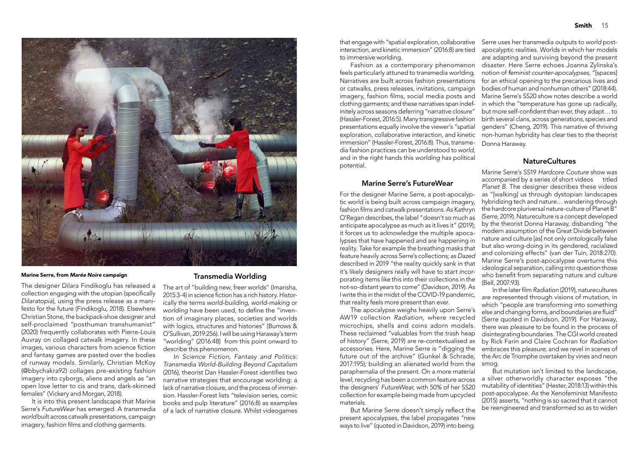that engage with "spatial exploration, collaborative interaction, and kinetic immersion" (2016:8) are tied to immersive worlding.

Fashion as a contemporary phenomenon feels particularly attuned to transmedia worlding. Narratives are built across fashion presentations or catwalks, press releases, invitations, campaign imagery, fashion films, social media posts and clothing garments; and these narratives span indefinitely across seasons deferring "narrative closure" (Hassler-Forest, 2016:5). Many transgressive fashion presentations equally involve the viewer's "spatial exploration, collaborative interaction, and kinetic immersion" (Hassler-Forest, 2016:8). Thus, transmedia fashion practices can be understood to world, and in the right hands this worlding has political potential.

#### **Marine Serre's FutureWear**

But Marine Serre doesn't simply reflect the present apocalypses, the label propagates "new ways to live" (quoted in Davidson, 2019) into being.

For the designer Marine Serre, a post-apocalyptic world is being built across campaign imagery, fashion films and catwalk presentations. As Kathryn O'Regan describes, the label "doesn't so much as anticipate apocalypse as much as it lives it" (2019); it forces us to acknowledge the multiple apocalypses that have happened and are happening in reality. Take for example the breathing masks that feature heavily across Serre's collections; as Dazed described in 2019 "the reality quickly sank in that it's likely designers really will have to start incorporating items like this into their collections in the not-so-distant years to come" (Davidson, 2019). As I write this in the midst of the COVID-19 pandemic, that reality feels more present than ever.

The designer Dilara Findikoglu has released a collection engaging with the utopian (specifically Dilaratopia), using the press release as a manifesto for the future (Findikoglu, 2018). Elsewhere Christian Stone, the backpack-shoe designer and self-proclaimed "posthuman transhumanist" (2020) frequently collaborates with Pierre-Louis Auvray on collaged catwalk imagery. In these images, various characters from science fiction and fantasy games are pasted over the bodies of runway models. Similarly, Christian McKoy (@bbychakra92) collages pre-existing fashion imagery into cyborgs, aliens and angels as "an open love letter to cis and trans, dark-skinned females" (Vickery and Morgan, 2018).

It is into this present landscape that Marine Serre's FutureWear has emerged. A transmedia world built across catwalk presentations, campaign imagery, fashion films and clothing garments.

### Transmedia Worlding

Serre uses her transmedia outputs to world postapocalyptic realities. Worlds in which her models are adapting and surviving beyond the present disaster. Here Serre echoes Joanna Zylinska's notion of feminist counter-apocalypses, "[spaces] for an ethical opening to the precarious lives and bodies of human and nonhuman others" (2018:44). Marine Serre's SS20 show notes describe a world in which the "temperature has gone up radically, but more self-confident than ever, they adapt... to birth several clans, across generations, species and genders" (Cheng, 2019). This narrative of thriving non-human hybridity has clear ties to the theorist Donna Haraway.

## **NatureCultures**

The apocalypse weighs heavily upon Serre's AW19 collection Radiation, where recycled microchips, shells and coins adorn models. These reclaimed "valuables from the trash heap of history" (Serre, 2019) are re-contextualised as accessories. Here, Marine Serre is "digging the future out of the archive" (Gunkel & Schrade, 2017:195); building an alienated world from the smog. paraphernalia of the present. On a more material level, recycling has been a common feature across the designers' FutureWear, with 50% of her SS20 collection for example being made from upcycled materials. (Serre quoted in Davidson, 2019). For Haraway, there was pleasure to be found in the process of disintegrating boundaries. The CGI world created by Rick Farin and Claire Cochran for Radiation embraces this pleasure, and we revel in scenes of the Arc de Triomphe overtaken by vines and neon But mutation isn't limited to the landscape, a silver otherworldly character exposes "the mutability of identities" (Hester, 2018:13) within this post-apocalypse. As the Xenofeminist Manifesto (2015) asserts, "nothing is so sacred that it cannot be reengineered and transformed so as to widen

Marine Serre's SS19 Hardcore Couture show was accompanied by a series of short videos titled Planet B. The designer describes these videos as "[walking] us through dystopian landscapes hybridizing tech and nature… wandering through the hardcore pluriversal nature-culture of Planet B" (Serre, 2019). Natureculture is a concept developed by the theorist Donna Haraway, disbanding "the modern assumption of the Great Divide between nature and culture [as] not only ontologically false but also wrong-doing in its gendered, racialized and colonizing effects" (van der Tuin, 2018:270). Marine Serre's post-apocalypse overturns this ideological separation, calling into question those who benefit from separating nature and culture (Bell, 2007:93).

In the later film *Radiation* (2019), naturecultures are represented through visions of mutation, in which "people are transforming into something else and changing forms, and boundaries are fluid"

The art of "building new, freer worlds" (Imarisha, 2015:3-4) in science fiction has a rich history. Historically the terms world-building, world-making or worlding have been used, to define the "invention of imaginary places, societies and worlds with logics, structures and histories" (Burrows & O'Sullivan, 2019:256). I will be using Haraway's term "worlding" (2016:48) from this point onward to describe this phenomenon.

In Science Fiction, Fantasy and Politics: Transmedia World-Building Beyond Capitalism (2016), theorist Dan Hassler-Forest identifies two narrative strategies that encourage worlding: a lack of narrative closure, and the process of immersion. Hassler-Forest lists "television series, comic books and pulp literature" (2016:8) as examples of a lack of narrative closure. Whilst videogames



#### Marine Serre, from Marée Noire campaign